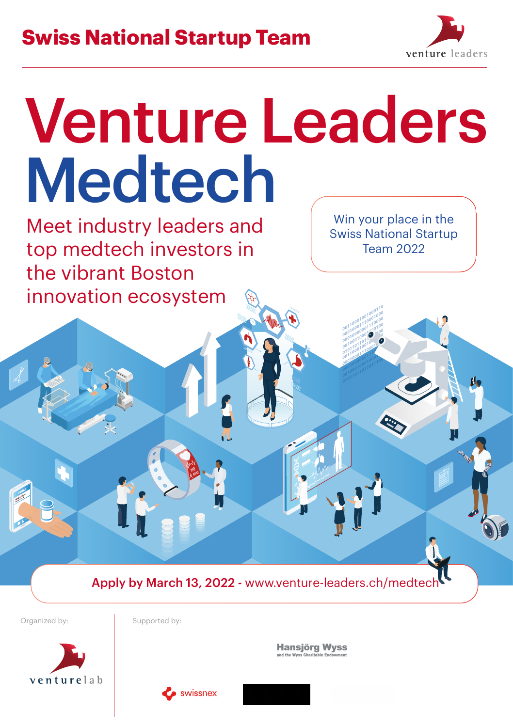## **Swiss National Startup Team**



# Venture Leaders Medtech

Meet industry leaders and top medtech investors in the vibrant Boston innovation ecosystem

Win your place in the Swiss National Startup Team 2022

Apply by March 13, 2022 - www.venture-leaders.ch/medtech

Organized by: Supported by:

venturelab

**Hansjörg Wyss**